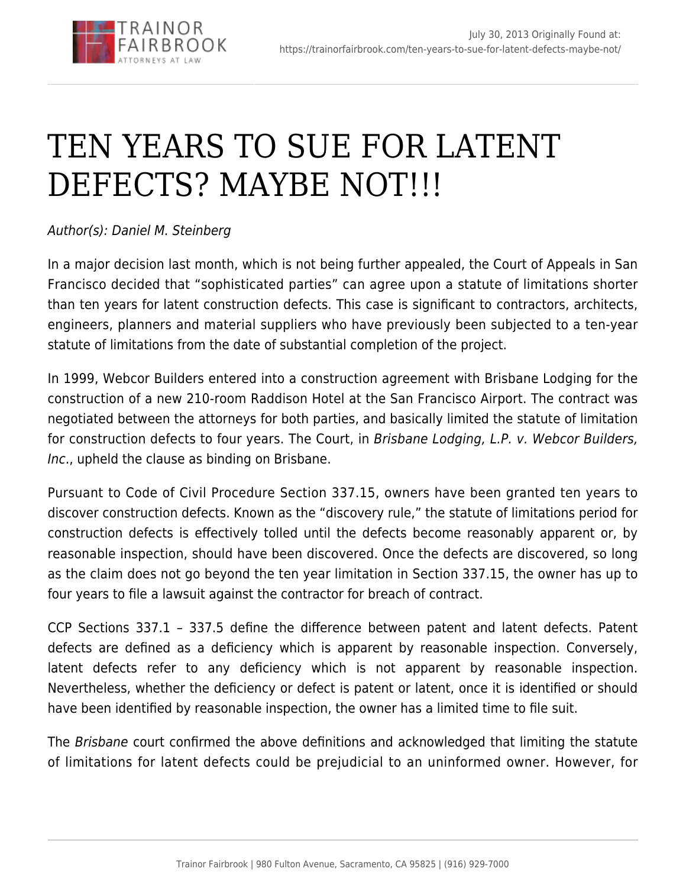

## [TEN YEARS TO SUE FOR LATENT](https://trainorfairbrook.com/ten-years-to-sue-for-latent-defects-maybe-not/) [DEFECTS? MAYBE NOT!!!](https://trainorfairbrook.com/ten-years-to-sue-for-latent-defects-maybe-not/)

## Author(s): Daniel M. Steinberg

In a major decision last month, which is not being further appealed, the Court of Appeals in San Francisco decided that "sophisticated parties" can agree upon a statute of limitations shorter than ten years for latent construction defects. This case is significant to contractors, architects, engineers, planners and material suppliers who have previously been subjected to a ten-year statute of limitations from the date of substantial completion of the project.

In 1999, Webcor Builders entered into a construction agreement with Brisbane Lodging for the construction of a new 210-room Raddison Hotel at the San Francisco Airport. The contract was negotiated between the attorneys for both parties, and basically limited the statute of limitation for construction defects to four years. The Court, in Brisbane Lodging, L.P. v. Webcor Builders, Inc., upheld the clause as binding on Brisbane.

Pursuant to Code of Civil Procedure Section 337.15, owners have been granted ten years to discover construction defects. Known as the "discovery rule," the statute of limitations period for construction defects is effectively tolled until the defects become reasonably apparent or, by reasonable inspection, should have been discovered. Once the defects are discovered, so long as the claim does not go beyond the ten year limitation in Section 337.15, the owner has up to four years to file a lawsuit against the contractor for breach of contract.

CCP Sections 337.1 – 337.5 define the difference between patent and latent defects. Patent defects are defined as a deficiency which is apparent by reasonable inspection. Conversely, latent defects refer to any deficiency which is not apparent by reasonable inspection. Nevertheless, whether the deficiency or defect is patent or latent, once it is identified or should have been identified by reasonable inspection, the owner has a limited time to file suit.

The Brisbane court confirmed the above definitions and acknowledged that limiting the statute of limitations for latent defects could be prejudicial to an uninformed owner. However, for